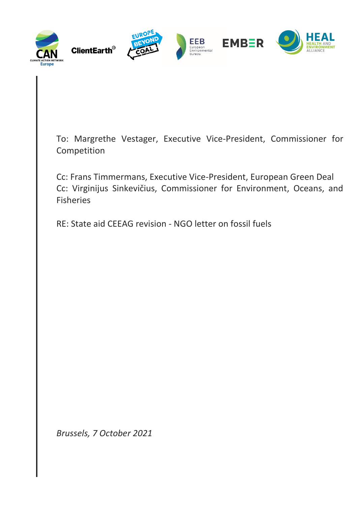

To: Margrethe Vestager, Executive Vice-President, Commissioner for Competition

Cc: Frans Timmermans, Executive Vice-President, European Green Deal Cc: Virginijus Sinkevičius, Commissioner for Environment, Oceans, and Fisheries

RE: State aid CEEAG revision - NGO letter on fossil fuels

*Brussels, 7 October 2021*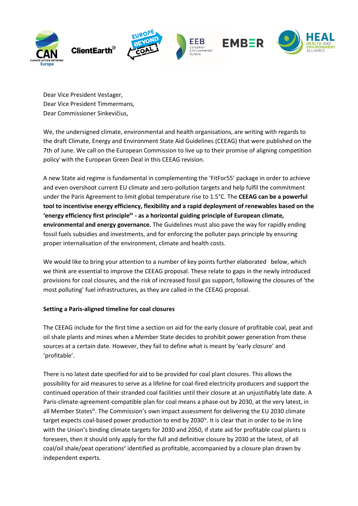

Dear Vice President Vestager, Dear Vice President Timmermans, Dear Commissioner Sinkevičius,

We, the undersigned climate, environmental and health organisations, are writing with regards to the draft Climate, Energy and Environment State Aid Guidelines (CEEAG) that were published on the 7th of June. We call on the European Commission to live up to their promise of aligning competition policy<sup>i</sup> with the European Green Deal in this CEEAG revision.

A new State aid regime is fundamental in complementing the 'FitFor55' package in order to achieve and even overshoot current EU climate and zero-pollution targets and help fulfil the commitment under the Paris Agreement to limit global temperature rise to 1.5°C. The **CEEAG can be a powerful tool to incentivise energy efficiency, flexibility and a rapid deployment of renewables based on the 'energy efficiency first principleii ' - as a horizontal guiding principle of European climate, environmental and energy governance.** The Guidelines must also pave the way for rapidly ending fossil fuels subsidies and investments, and for enforcing the polluter pays principle by ensuring proper internalisation of the environment, climate and health costs.

We would like to bring your attention to a number of key points further elaborated below, which we think are essential to improve the CEEAG proposal. These relate to gaps in the newly introduced provisions for coal closures, and the risk of increased fossil gas support, following the closures of 'the most polluting' fuel infrastructures, as they are called in the CEEAG proposal.

## **Setting a Paris-aligned timeline for coal closures**

The CEEAG include for the first time a section on aid for the early closure of profitable coal, peat and oil shale plants and mines when a Member State decides to prohibit power generation from these sources at a certain date. However, they fail to define what is meant by 'early closure' and 'profitable'.

There is no latest date specified for aid to be provided for coal plant closures. This allows the possibility for aid measures to serve as a lifeline for coal-fired electricity producers and support the continued operation of their stranded coal facilities until their closure at an unjustifiably late date. A Paris-climate-agreement-compatible plan for coal means a phase-out by 2030, at the very latest, in all Member States<sup>ii</sup>. The Commission's own impact assessment for delivering the EU 2030 climate target expects coal-based power production to end by 2030<sup>iv</sup>. It is clear that in order to be in line with the Union's binding climate targets for 2030 and 2050, if state aid for profitable coal plants is foreseen, then it should only apply for the full and definitive closure by 2030 at the latest, of all coal/oil shale/peat operations' identified as profitable, accompanied by a closure plan drawn by independent experts.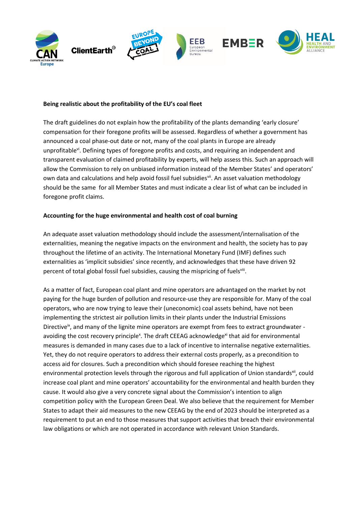

### **Being realistic about the profitability of the EU's coal fleet**

The draft guidelines do not explain how the profitability of the plants demanding 'early closure' compensation for their foregone profits will be assessed. Regardless of whether a government has announced a coal phase-out date or not, many of the coal plants in Europe are already unprofitable<sup>vi</sup>. Defining types of foregone profits and costs, and requiring an independent and transparent evaluation of claimed profitability by experts, will help assess this. Such an approach will allow the Commission to rely on unbiased information instead of the Member States' and operators' own data and calculations and help avoid fossil fuel subsidiesvil. An asset valuation methodology should be the same for all Member States and must indicate a clear list of what can be included in foregone profit claims.

#### **Accounting for the huge environmental and health cost of coal burning**

An adequate asset valuation methodology should include the assessment/internalisation of the externalities, meaning the negative impacts on the environment and health, the society has to pay throughout the lifetime of an activity. The International Monetary Fund (IMF) defines such externalities as 'implicit subsidies' since recently, and acknowledges that these have driven 92 percent of total global fossil fuel subsidies, causing the mispricing of fuelsviil.

As a matter of fact, European coal plant and mine operators are advantaged on the market by not paying for the huge burden of pollution and resource-use they are responsible for. Many of the coal operators, who are now trying to leave their (uneconomic) coal assets behind, have not been implementing the strictest air pollution limits in their plants under the Industrial Emissions Directive<sup>ix</sup>, and many of the lignite mine operators are exempt from fees to extract groundwater avoiding the cost recovery principle<sup>x</sup>. The draft CEEAG acknowledge<sup>xi</sup> that aid for environmental measures is demanded in many cases due to a lack of incentive to internalise negative externalities. Yet, they do not require operators to address their external costs properly, as a precondition to access aid for closures. Such a precondition which should foresee reaching the highest environmental protection levels through the rigorous and full application of Union standards<sup>xii</sup>, could increase coal plant and mine operators' accountability for the environmental and health burden they cause. It would also give a very concrete signal about the Commission's intention to align competition policy with the European Green Deal. We also believe that the requirement for Member States to adapt their aid measures to the new CEEAG by the end of 2023 should be interpreted as a requirement to put an end to those measures that support activities that breach their environmental law obligations or which are not operated in accordance with relevant Union Standards.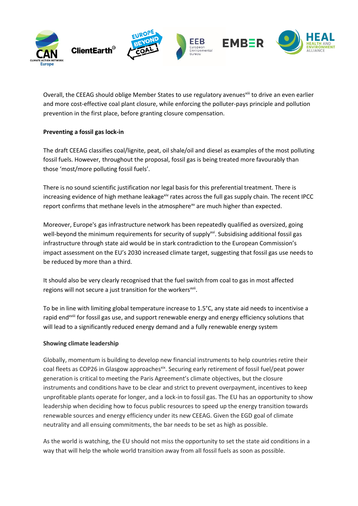

Overall, the CEEAG should oblige Member States to use regulatory avenues<sup>xiii</sup> to drive an even earlier and more cost-effective coal plant closure, while enforcing the polluter-pays principle and pollution prevention in the first place, before granting closure compensation.

# **Preventing a fossil gas lock-in**

The draft CEEAG classifies coal/lignite, peat, oil shale/oil and diesel as examples of the most polluting fossil fuels. However, throughout the proposal, fossil gas is being treated more favourably than those 'most/more polluting fossil fuels'.

There is no sound scientific justification nor legal basis for this preferential treatment. There is increasing evidence of high methane leakage<sup>xiv</sup> rates across the full gas supply chain. The recent IPCC report confirms that methane levels in the atmosphere<sup>xv</sup> are much higher than expected.

Moreover, Europe's gas infrastructure network has been repeatedly qualified as oversized, going well-beyond the minimum requirements fo[r security of supply](https://www.artelys.com/wp-content/uploads/2020/01/Artelys-GasSecurityOfSupply-UpdatedAnalysis.pdf)<sup>xvi</sup>. Subsidising additional fossil gas infrastructure through state aid would be in stark contradiction to the [European Commission's](https://eur-lex.europa.eu/legal-content/EN/TXT/?uri=CELEX:52020SC0176)  [impact assessment on](https://eur-lex.europa.eu/legal-content/EN/TXT/?uri=CELEX:52020SC0176) the EU's 2030 increased climate target, suggesting that fossil gas use needs to be reduced by more than a third.

It should also be very clearly recognised that the fuel switch from coal to gas in most affected regions will not secure a just transition for the workers<sup>xvii</sup>.

To be in line with limiting global temperature increase to 1.5°C, any state aid needs to incentivise a rapid end<sup>xviii</sup> for fossil gas use, and support renewable energy and energy efficiency solutions that will lead to a significantly reduced energy demand and a fully renewable energy system

## **Showing climate leadership**

Globally, momentum is building to develop new financial instruments to help countries retire their coal fleets as COP26 in Glasgow approaches<sup>xix</sup>. Securing early retirement of fossil fuel/peat power generation is critical to meeting the Paris Agreement's climate objectives, but the closure instruments and conditions have to be clear and strict to prevent overpayment, incentives to keep unprofitable plants operate for longer, and a lock-in to fossil gas. The EU has an opportunity to show leadership when deciding how to focus public resources to speed up the energy transition towards renewable sources and energy efficiency under its new CEEAG. Given the EGD goal of climate neutrality and all ensuing commitments, the bar needs to be set as high as possible.

As the world is watching, the EU should not miss the opportunity to set the state aid conditions in a way that will help the whole world transition away from all fossil fuels as soon as possible.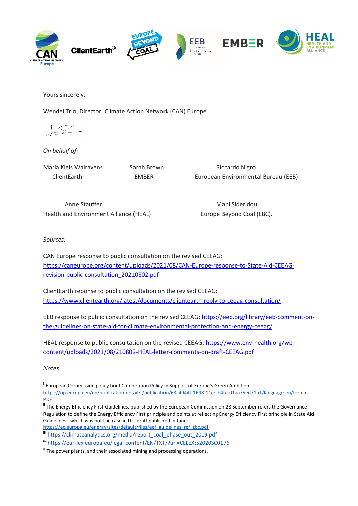

Yours sincerely,

Wendel Trio, Director, Climate Action Network (CAN) Europe

*On behalf of:*

Maria Kleis Walravens Sarah Brown **Riccardo Nigro** 

ClientEarth EMBER European Environmental Bureau (EEB)

Anne Stauffer **Mahi Sideridou** Health and Environment Alliance (HEAL) Europe Beyond Coal (EBC).

*Sources:*

CAN Europe response to public consultation on the revised CEEAG: [https://caneurope.org/content/uploads/2021/08/CAN-Europe-response-to-State-Aid-CEEAG](https://caneurope.org/content/uploads/2021/08/CAN-Europe-response-to-State-Aid-CEEAG-revision-public-consultation_20210802.pdf)[revision-public-consultation\\_20210802.pdf](https://caneurope.org/content/uploads/2021/08/CAN-Europe-response-to-State-Aid-CEEAG-revision-public-consultation_20210802.pdf)

ClientEarth reponse to public consultation on the revised CEEAG: <https://www.clientearth.org/latest/documents/clientearth-reply-to-ceeag-consultation/>

EEB response to public consultation on the revised CEEAG[: https://eeb.org/library/eeb-comment-on](https://eeb.org/library/eeb-comment-on-the-guidelines-on-state-aid-for-climate-environmental-protection-and-energy-ceeag/)[the-guidelines-on-state-aid-for-climate-environmental-protection-and-energy-ceeag/](https://eeb.org/library/eeb-comment-on-the-guidelines-on-state-aid-for-climate-environmental-protection-and-energy-ceeag/)

HEAL response to public consultation on the revised CEEAG: [https://www.env-health.org/wp](https://www.env-health.org/wp-content/uploads/2021/08/210802-HEAL-letter-comments-on-draft-CEEAG.pdf)[content/uploads/2021/08/210802-HEAL-letter-comments-on-draft-CEEAG.pdf](https://www.env-health.org/wp-content/uploads/2021/08/210802-HEAL-letter-comments-on-draft-CEEAG.pdf)

*Notes:*

-

[https://op.europa.eu/en/publication-detail/-/publication/63c4944f-1698-11ec-b4fe-01aa75ed71a1/language-en/format-](https://op.europa.eu/en/publication-detail/-/publication/63c4944f-1698-11ec-b4fe-01aa75ed71a1/language-en/format-PDF)[PDF](https://op.europa.eu/en/publication-detail/-/publication/63c4944f-1698-11ec-b4fe-01aa75ed71a1/language-en/format-PDF)

ii The Energy Efficiency First Guidelines, published by the European Commission on 28 September refers the Governance Regulation to define the Energy Efficiency First principle and points at reflecting Energy Efficiency First principle in State Aid Guidelines - which was not the case in the draft published in June:

[https://ec.europa.eu/energy/sites/default/files/eef\\_guidelines\\_ref\\_tbc.pdf](https://ec.europa.eu/energy/sites/default/files/eef_guidelines_ref_tbc.pdf) iii [https://climateanalytics.org/media/report\\_coal\\_phase\\_out\\_2019.pdf](https://climateanalytics.org/media/report_coal_phase_out_2019.pdf)

iv <https://eur-lex.europa.eu/legal-content/EN/TXT/?uri=CELEX:52020SC0176>

<sup>v</sup> The power plants, and their associated mining and processing operations.

<sup>&</sup>lt;sup>i</sup> European Commission policy brief Competition Policy in Support of Europe's Green Ambition: